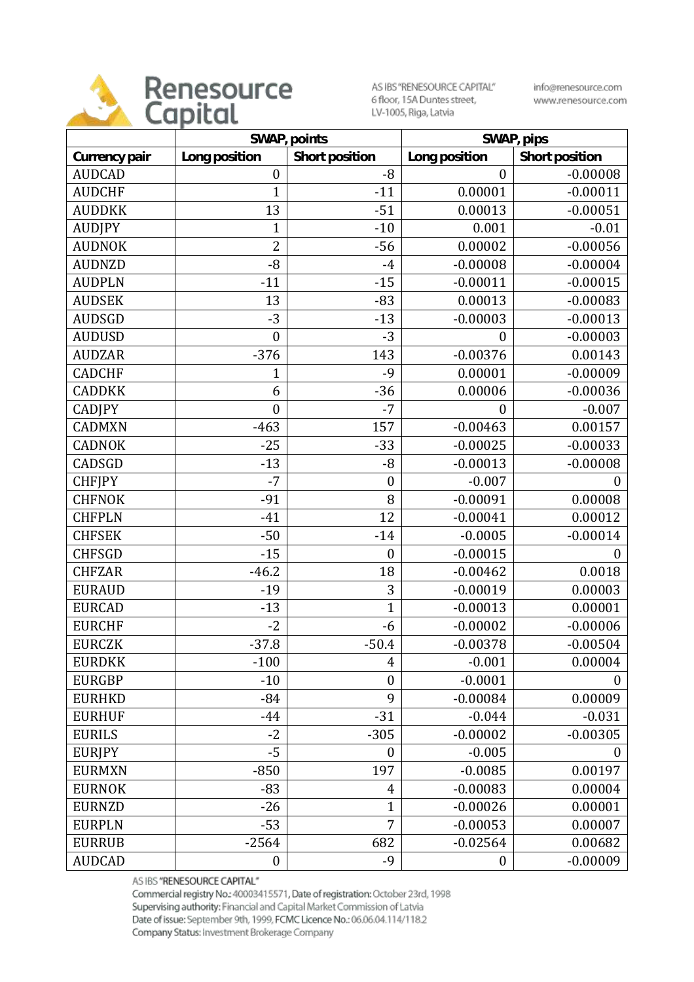

AS IBS "RENESOURCE CAPITAL" 6 floor, 15A Duntes street, LV-1005, Riga, Latvia

info@renesource.com www.renesource.com

|               | SWAP, points     |                  | SWAP, pips       |                  |
|---------------|------------------|------------------|------------------|------------------|
| Currency pair | Long position    | Short position   | Long position    | Short position   |
| <b>AUDCAD</b> | $\boldsymbol{0}$ | $-8$             | $\mathbf{0}$     | $-0.00008$       |
| <b>AUDCHF</b> | 1                | $-11$            | 0.00001          | $-0.00011$       |
| <b>AUDDKK</b> | 13               | $-51$            | 0.00013          | $-0.00051$       |
| <b>AUDJPY</b> | $\mathbf{1}$     | $-10$            | 0.001            | $-0.01$          |
| <b>AUDNOK</b> | $\overline{2}$   | $-56$            | 0.00002          | $-0.00056$       |
| <b>AUDNZD</b> | $-8$             | $-4$             | $-0.00008$       | $-0.00004$       |
| <b>AUDPLN</b> | $-11$            | $-15$            | $-0.00011$       | $-0.00015$       |
| <b>AUDSEK</b> | 13               | $-83$            | 0.00013          | $-0.00083$       |
| <b>AUDSGD</b> | $-3$             | $-13$            | $-0.00003$       | $-0.00013$       |
| <b>AUDUSD</b> | $\boldsymbol{0}$ | $-3$             | $\boldsymbol{0}$ | $-0.00003$       |
| <b>AUDZAR</b> | $-376$           | 143              | $-0.00376$       | 0.00143          |
| <b>CADCHF</b> | 1                | $-9$             | 0.00001          | $-0.00009$       |
| <b>CADDKK</b> | 6                | $-36$            | 0.00006          | $-0.00036$       |
| <b>CADJPY</b> | $\boldsymbol{0}$ | $-7$             | 0                | $-0.007$         |
| <b>CADMXN</b> | $-463$           | 157              | $-0.00463$       | 0.00157          |
| <b>CADNOK</b> | $-25$            | $-33$            | $-0.00025$       | $-0.00033$       |
| CADSGD        | $-13$            | $-8$             | $-0.00013$       | $-0.00008$       |
| <b>CHFJPY</b> | $-7$             | $\boldsymbol{0}$ | $-0.007$         | $\overline{0}$   |
| <b>CHFNOK</b> | $-91$            | 8                | $-0.00091$       | 0.00008          |
| <b>CHFPLN</b> | $-41$            | 12               | $-0.00041$       | 0.00012          |
| <b>CHFSEK</b> | $-50$            | $-14$            | $-0.0005$        | $-0.00014$       |
| <b>CHFSGD</b> | $-15$            | $\boldsymbol{0}$ | $-0.00015$       | $\overline{0}$   |
| <b>CHFZAR</b> | $-46.2$          | 18               | $-0.00462$       | 0.0018           |
| <b>EURAUD</b> | $-19$            | 3                | $-0.00019$       | 0.00003          |
| <b>EURCAD</b> | $-13$            | $\overline{1}$   | $-0.00013$       | 0.00001          |
| <b>EURCHF</b> | $-2$             | $-6$             | $-0.00002$       | $-0.00006$       |
| <b>EURCZK</b> | $-37.8$          | $-50.4$          | $-0.00378$       | $-0.00504$       |
| <b>EURDKK</b> | $-100$           | 4                | $-0.001$         | 0.00004          |
| <b>EURGBP</b> | $-10$            | $\boldsymbol{0}$ | $-0.0001$        | $\boldsymbol{0}$ |
| <b>EURHKD</b> | $-84$            | 9                | $-0.00084$       | 0.00009          |
| <b>EURHUF</b> | $-44$            | $-31$            | $-0.044$         | $-0.031$         |
| <b>EURILS</b> | $-2$             | $-305$           | $-0.00002$       | $-0.00305$       |
| <b>EURJPY</b> | $-5$             | $\boldsymbol{0}$ | $-0.005$         | 0                |
| <b>EURMXN</b> | $-850$           | 197              | $-0.0085$        | 0.00197          |
| <b>EURNOK</b> | $-83$            | 4                | $-0.00083$       | 0.00004          |
| <b>EURNZD</b> | $-26$            | $\mathbf{1}$     | $-0.00026$       | 0.00001          |
| <b>EURPLN</b> | $-53$            | 7                | $-0.00053$       | 0.00007          |
| <b>EURRUB</b> | $-2564$          | 682              | $-0.02564$       | 0.00682          |
| <b>AUDCAD</b> | $\boldsymbol{0}$ | $-9$             | $\boldsymbol{0}$ | $-0.00009$       |

AS IBS "RENESOURCE CAPITAL"

Commercial registry No.: 40003415571, Date of registration: October 23rd, 1998 Supervising authority: Financial and Capital Market Commission of Latvia Date of issue: September 9th, 1999, FCMC Licence No.: 06.06.04.114/118.2 Company Status: Investment Brokerage Company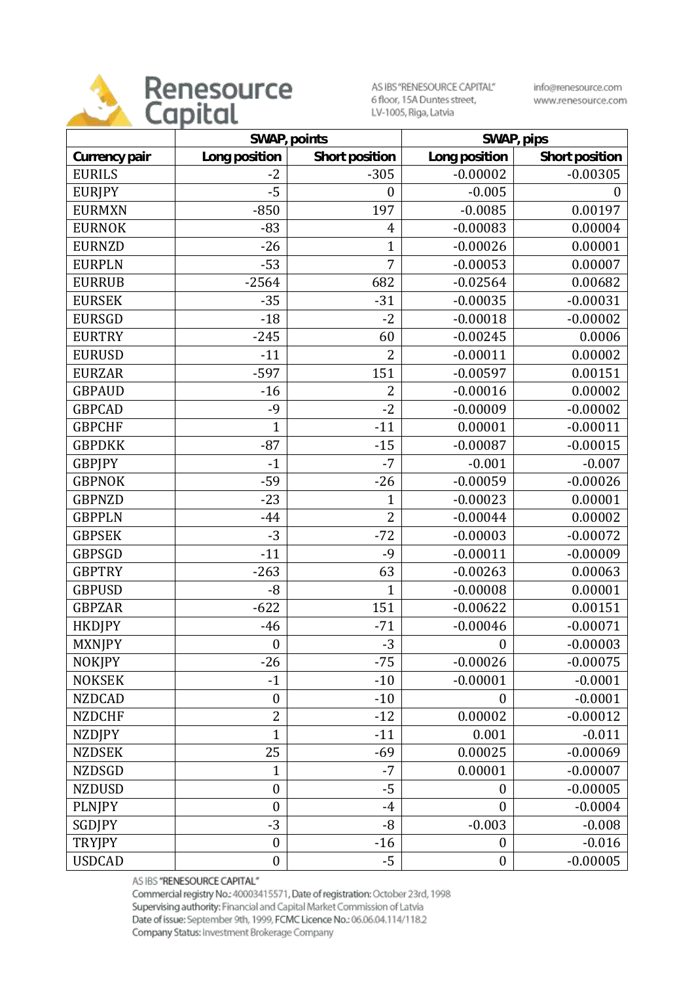

AS IBS "RENESOURCE CAPITAL" 6 floor, 15A Duntes street, LV-1005, Riga, Latvia

info@renesource.com www.renesource.com

|               | SWAP, points     |                  | SWAP, pips       |                |
|---------------|------------------|------------------|------------------|----------------|
| Currency pair | Long position    | Short position   | Long position    | Short position |
| <b>EURILS</b> | $-2$             | $-305$           | $-0.00002$       | $-0.00305$     |
| <b>EURJPY</b> | $-5$             | $\boldsymbol{0}$ | $-0.005$         | $\theta$       |
| <b>EURMXN</b> | $-850$           | 197              | $-0.0085$        | 0.00197        |
| <b>EURNOK</b> | $-83$            | 4                | $-0.00083$       | 0.00004        |
| <b>EURNZD</b> | $-26$            | $\mathbf{1}$     | $-0.00026$       | 0.00001        |
| <b>EURPLN</b> | $-53$            | 7                | $-0.00053$       | 0.00007        |
| <b>EURRUB</b> | $-2564$          | 682              | $-0.02564$       | 0.00682        |
| <b>EURSEK</b> | $-35$            | $-31$            | $-0.00035$       | $-0.00031$     |
| <b>EURSGD</b> | $-18$            | $-2$             | $-0.00018$       | $-0.00002$     |
| <b>EURTRY</b> | $-245$           | 60               | $-0.00245$       | 0.0006         |
| <b>EURUSD</b> | $-11$            | $\overline{2}$   | $-0.00011$       | 0.00002        |
| <b>EURZAR</b> | $-597$           | 151              | $-0.00597$       | 0.00151        |
| <b>GBPAUD</b> | $-16$            | $\overline{2}$   | $-0.00016$       | 0.00002        |
| <b>GBPCAD</b> | $-9$             | $-2$             | $-0.00009$       | $-0.00002$     |
| <b>GBPCHF</b> | $\overline{1}$   | $-11$            | 0.00001          | $-0.00011$     |
| <b>GBPDKK</b> | $-87$            | $-15$            | $-0.00087$       | $-0.00015$     |
| <b>GBPJPY</b> | $-1$             | $-7$             | $-0.001$         | $-0.007$       |
| <b>GBPNOK</b> | $-59$            | $-26$            | $-0.00059$       | $-0.00026$     |
| <b>GBPNZD</b> | $-23$            | 1                | $-0.00023$       | 0.00001        |
| <b>GBPPLN</b> | $-44$            | $\overline{2}$   | $-0.00044$       | 0.00002        |
| <b>GBPSEK</b> | $-3$             | $-72$            | $-0.00003$       | $-0.00072$     |
| <b>GBPSGD</b> | $-11$            | $-9$             | $-0.00011$       | $-0.00009$     |
| <b>GBPTRY</b> | $-263$           | 63               | $-0.00263$       | 0.00063        |
| <b>GBPUSD</b> | $-8$             | $\overline{1}$   | $-0.00008$       | 0.00001        |
| <b>GBPZAR</b> | $-622$           | 151              | $-0.00622$       | 0.00151        |
| <b>HKDJPY</b> | $-46$            | $-71$            | $-0.00046$       | $-0.00071$     |
| <b>MXNJPY</b> | $\boldsymbol{0}$ | $-3$             | $\boldsymbol{0}$ | $-0.00003$     |
| <b>NOKJPY</b> | $-26$            | $-75$            | $-0.00026$       | $-0.00075$     |
| <b>NOKSEK</b> | $-1$             | $-10$            | $-0.00001$       | $-0.0001$      |
| <b>NZDCAD</b> | $\boldsymbol{0}$ | $-10$            | $\boldsymbol{0}$ | $-0.0001$      |
| <b>NZDCHF</b> | $\overline{2}$   | $-12$            | 0.00002          | $-0.00012$     |
| <b>NZDJPY</b> | $\overline{1}$   | $-11$            | 0.001            | $-0.011$       |
| <b>NZDSEK</b> | 25               | $-69$            | 0.00025          | $-0.00069$     |
| <b>NZDSGD</b> | $\mathbf 1$      | $-7$             | 0.00001          | $-0.00007$     |
| <b>NZDUSD</b> | $\boldsymbol{0}$ | $-5$             | $\boldsymbol{0}$ | $-0.00005$     |
| <b>PLNJPY</b> | $\boldsymbol{0}$ | $-4$             | $\boldsymbol{0}$ | $-0.0004$      |
| SGDJPY        | $-3$             | $-8$             | $-0.003$         | $-0.008$       |
| <b>TRYJPY</b> | $\boldsymbol{0}$ | $-16$            | $\boldsymbol{0}$ | $-0.016$       |
| <b>USDCAD</b> | $\boldsymbol{0}$ | $-5$             | $\boldsymbol{0}$ | $-0.00005$     |

AS IBS "RENESOURCE CAPITAL"

Commercial registry No.: 40003415571, Date of registration: October 23rd, 1998 Supervising authority: Financial and Capital Market Commission of Latvia Date of issue: September 9th, 1999, FCMC Licence No.: 06.06.04.114/118.2 Company Status: Investment Brokerage Company